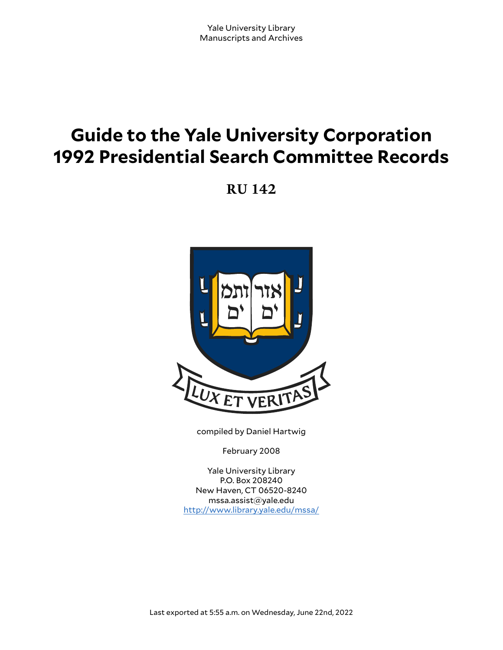# **Guide to the Yale University Corporation 1992 Presidential Search Committee Records**

**RU 142**



compiled by Daniel Hartwig

February 2008

Yale University Library P.O. Box 208240 New Haven, CT 06520-8240 mssa.assist@yale.edu <http://www.library.yale.edu/mssa/>

Last exported at 5:55 a.m. on Wednesday, June 22nd, 2022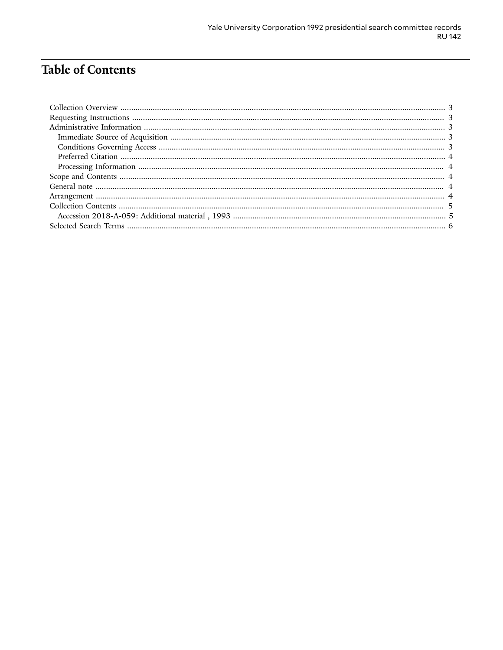# **Table of Contents**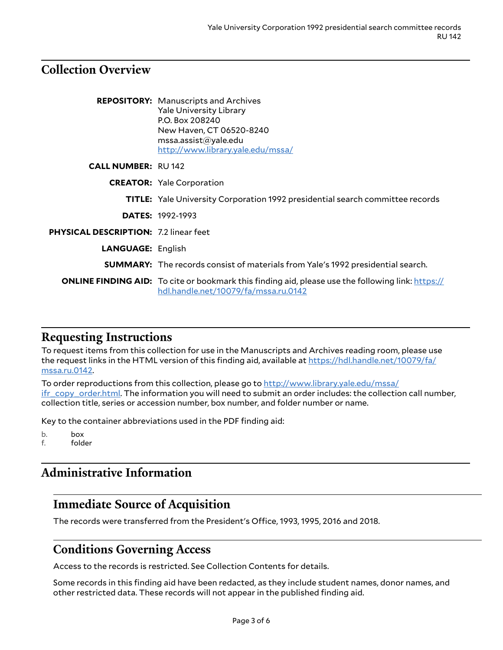## <span id="page-2-0"></span>**Collection Overview**

|                                              | <b>REPOSITORY:</b> Manuscripts and Archives<br><b>Yale University Library</b><br>P.O. Box 208240<br>New Haven, CT 06520-8240<br>msa. assist@yale.edu<br>http://www.library.yale.edu/mssa/ |
|----------------------------------------------|-------------------------------------------------------------------------------------------------------------------------------------------------------------------------------------------|
| <b>CALL NUMBER: RU142</b>                    |                                                                                                                                                                                           |
|                                              | <b>CREATOR:</b> Yale Corporation                                                                                                                                                          |
|                                              | <b>TITLE:</b> Yale University Corporation 1992 presidential search committee records                                                                                                      |
|                                              | <b>DATES: 1992-1993</b>                                                                                                                                                                   |
| <b>PHYSICAL DESCRIPTION: 7.2 linear feet</b> |                                                                                                                                                                                           |
| <b>LANGUAGE: English</b>                     |                                                                                                                                                                                           |
|                                              | <b>SUMMARY:</b> The records consist of materials from Yale's 1992 presidential search.                                                                                                    |
|                                              | <b>ONLINE FINDING AID:</b> To cite or bookmark this finding aid, please use the following link: https://<br>hdl.handle.net/10079/fa/mssa.ru.0142                                          |

## <span id="page-2-1"></span>**Requesting Instructions**

To request items from this collection for use in the Manuscripts and Archives reading room, please use the request links in the HTML version of this finding aid, available at [https://hdl.handle.net/10079/fa/](https://hdl.handle.net/10079/fa/mssa.ru.0142) [mssa.ru.0142.](https://hdl.handle.net/10079/fa/mssa.ru.0142)

To order reproductions from this collection, please go to [http://www.library.yale.edu/mssa/](http://www.library.yale.edu/mssa/ifr_copy_order.html) [ifr\\_copy\\_order.html.](http://www.library.yale.edu/mssa/ifr_copy_order.html) The information you will need to submit an order includes: the collection call number, collection title, series or accession number, box number, and folder number or name.

Key to the container abbreviations used in the PDF finding aid:

b. box

f. folder

# <span id="page-2-2"></span>**Administrative Information**

## <span id="page-2-3"></span>**Immediate Source of Acquisition**

The records were transferred from the President's Office, 1993, 1995, 2016 and 2018.

## <span id="page-2-4"></span>**Conditions Governing Access**

Access to the records is restricted. See Collection Contents for details.

Some records in this finding aid have been redacted, as they include student names, donor names, and other restricted data. These records will not appear in the published finding aid.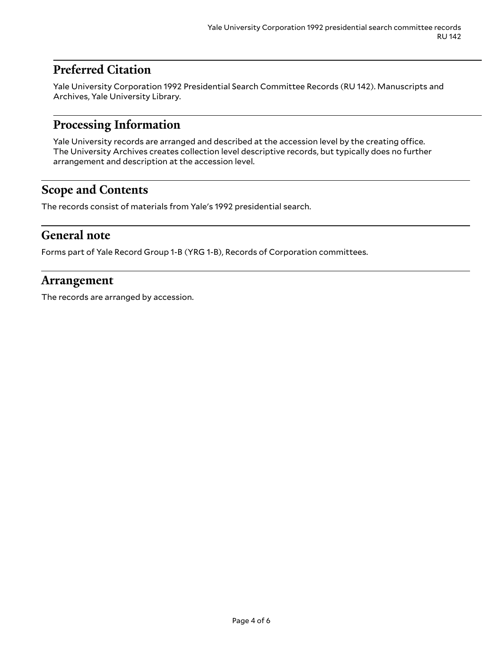# <span id="page-3-0"></span>**Preferred Citation**

Yale University Corporation 1992 Presidential Search Committee Records (RU 142). Manuscripts and Archives, Yale University Library.

## <span id="page-3-1"></span>**Processing Information**

Yale University records are arranged and described at the accession level by the creating office. The University Archives creates collection level descriptive records, but typically does no further arrangement and description at the accession level.

# <span id="page-3-2"></span>**Scope and Contents**

The records consist of materials from Yale's 1992 presidential search.

## <span id="page-3-3"></span>**General note**

Forms part of Yale Record Group 1-B (YRG 1-B), Records of Corporation committees.

## <span id="page-3-4"></span>**Arrangement**

The records are arranged by accession.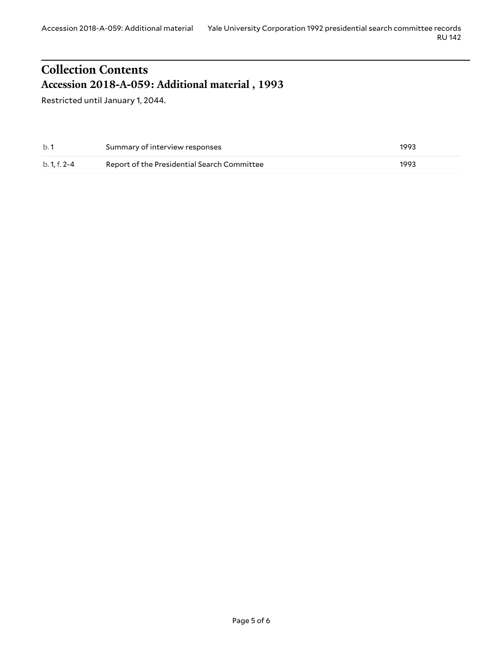#### RU 142

# <span id="page-4-0"></span>**Collection Contents Accession 2018-A-059: Additional material , 1993**

<span id="page-4-1"></span>Restricted until January 1, 2044.

| b.1          | Summary of interview responses              | 1993 |
|--------------|---------------------------------------------|------|
| b. 1. f. 2-4 | Report of the Presidential Search Committee | 1993 |